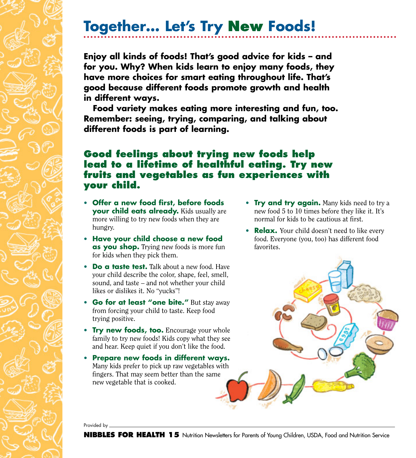## **Together… Let's Try New Foods!**

**Enjoy all kinds of foods! That's good advice for kids – and for you. Why? When kids learn to enjoy many foods, they have more choices for smart eating throughout life. That's good because different foods promote growth and health in different ways.** 

**Food variety makes eating more interesting and fun, too. Remember: seeing, trying, comparing, and talking about different foods is part of learning.**

## **Good feelings about trying new foods help lead to a lifetime of healthful eating. Try new fruits and vegetables as fun experiences with your child.**

- **Offer a new food first, before foods your child eats already.** Kids usually are more willing to try new foods when they are hungry.
- **Have your child choose a new food as you shop.** Trying new foods is more fun for kids when they pick them.
- **Do a taste test.** Talk about a new food. Have your child describe the color, shape, feel, smell, sound, and taste – and not whether your child likes or dislikes it. No "yucks"!
- **Go for at least "one bite."** But stay away from forcing your child to taste. Keep food trying positive.
- **Try new foods, too.** Encourage your whole family to try new foods! Kids copy what they see and hear. Keep quiet if you don't like the food.
- **Prepare new foods in different ways.** Many kids prefer to pick up raw vegetables with fingers. That may seem better than the same new vegetable that is cooked.
- **Try and try again.** Many kids need to try a new food 5 to 10 times before they like it. It's normal for kids to be cautious at first.
- **Relax.** Your child doesn't need to like every food. Everyone (you, too) has different food favorites.

Provided by